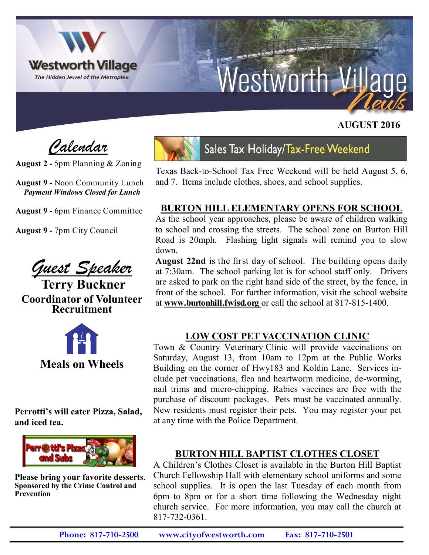

# Westworth Vill

### **AUGUST 2016**

 *Calendar*

**August 2 -** 5pm Planning & Zoning

**August 9 -** Noon Community Lunch *Payment Windows Closed for Lunch*

**August 9 -** 6pm Finance Committee

**August 9 -** 7pm City Council



**Terry Buckner Coordinator of Volunteer Recruitment** 



**Perrotti's will cater Pizza, Salad, and iced tea.**



**Please bring your favorite desserts**. **Sponsored by the Crime Control and Prevention**



## Sales Tax Holiday/Tax-Free Weekend

Texas Back-to-School Tax Free Weekend will be held August 5, 6, and 7. Items include clothes, shoes, and school supplies.

#### **BURTON HILL ELEMENTARY OPENS FOR SCHOOL**

As the school year approaches, please be aware of children walking to school and crossing the streets. The school zone on Burton Hill Road is 20mph. Flashing light signals will remind you to slow down.

**August 22nd** is the first day of school. The building opens daily at 7:30am. The school parking lot is for school staff only. Drivers are asked to park on the right hand side of the street, by the fence, in front of the school. For further information, visit the school website at **www.burtonhill.fwisd.org** or call the school at 817-815-1400.

#### **LOW COST PET VACCINATION CLINIC**

Town & Country Veterinary Clinic will provide vaccinations on Saturday, August 13, from 10am to 12pm at the Public Works Building on the corner of Hwy183 and Koldin Lane. Services include pet vaccinations, flea and heartworm medicine, de-worming, nail trims and micro-chipping. Rabies vaccines are free with the purchase of discount packages. Pets must be vaccinated annually. New residents must register their pets. You may register your pet at any time with the Police Department.

#### **BURTON HILL BAPTIST CLOTHES CLOSET**

A Children's Clothes Closet is available in the Burton Hill Baptist Church Fellowship Hall with elementary school uniforms and some school supplies. It is open the last Tuesday of each month from 6pm to 8pm or for a short time following the Wednesday night church service. For more information, you may call the church at 817-732-0361.